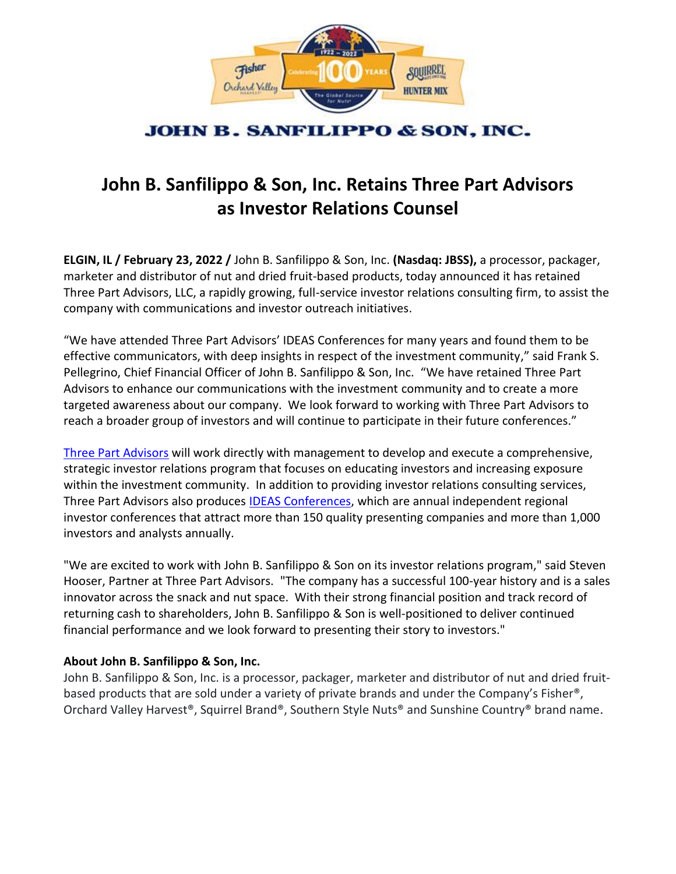

## **JOHN B. SANFILIPPO & SON, INC.**

# **John B. Sanfilippo & Son, Inc. Retains Three Part Advisors as Investor Relations Counsel**

**ELGIN, IL / February 23, 2022 /** John B. Sanfilippo & Son, Inc. **(Nasdaq: JBSS),** a processor, packager, marketer and distributor of nut and dried fruit-based products, today announced it has retained Three Part Advisors, LLC, a rapidly growing, full-service investor relations consulting firm, to assist the company with communications and investor outreach initiatives.

"We have attended Three Part Advisors' IDEAS Conferences for many years and found them to be effective communicators, with deep insights in respect of the investment community," said Frank S. Pellegrino, Chief Financial Officer of John B. Sanfilippo & Son, Inc. "We have retained Three Part Advisors to enhance our communications with the investment community and to create a more targeted awareness about our company. We look forward to working with Three Part Advisors to reach a broader group of investors and will continue to participate in their future conferences."

[Three Part Advisors](http://www.threepa.com/) will work directly with management to develop and execute a comprehensive, strategic investor relations program that focuses on educating investors and increasing exposure within the investment community. In addition to providing investor relations consulting services, Three Part Advisors also produces [IDEAS Conferences,](http://www.ideasconferences.com/) which are annual independent regional investor conferences that attract more than 150 quality presenting companies and more than 1,000 investors and analysts annually.

"We are excited to work with John B. Sanfilippo & Son on its investor relations program," said Steven Hooser, Partner at Three Part Advisors. "The company has a successful 100-year history and is a sales innovator across the snack and nut space. With their strong financial position and track record of returning cash to shareholders, John B. Sanfilippo & Son is well-positioned to deliver continued financial performance and we look forward to presenting their story to investors."

### **About John B. Sanfilippo & Son, Inc.**

John B. Sanfilippo & Son, Inc. is a processor, packager, marketer and distributor of nut and dried fruitbased products that are sold under a variety of private brands and under the Company's Fisher®, Orchard Valley Harvest®, Squirrel Brand®, Southern Style Nuts® and Sunshine Country® brand name.